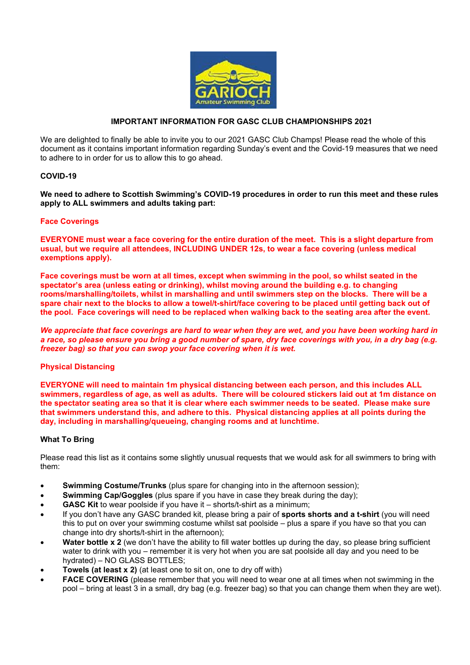

# **IMPORTANT INFORMATION FOR GASC CLUB CHAMPIONSHIPS 2021**

We are delighted to finally be able to invite you to our 2021 GASC Club Champs! Please read the whole of this document as it contains important information regarding Sunday's event and the Covid-19 measures that we need to adhere to in order for us to allow this to go ahead.

## **COVID-19**

**We need to adhere to Scottish Swimming's COVID-19 procedures in order to run this meet and these rules apply to ALL swimmers and adults taking part:**

#### **Face Coverings**

**EVERYONE must wear a face covering for the entire duration of the meet. This is a slight departure from usual, but we require all attendees, INCLUDING UNDER 12s, to wear a face covering (unless medical exemptions apply).**

**Face coverings must be worn at all times, except when swimming in the pool, so whilst seated in the spectator's area (unless eating or drinking), whilst moving around the building e.g. to changing rooms/marshalling/toilets, whilst in marshalling and until swimmers step on the blocks. There will be a spare chair next to the blocks to allow a towel/t-shirt/face covering to be placed until getting back out of the pool. Face coverings will need to be replaced when walking back to the seating area after the event.**

*We appreciate that face coverings are hard to wear when they are wet, and you have been working hard in a race, so please ensure you bring a good number of spare, dry face coverings with you, in a dry bag (e.g. freezer bag) so that you can swop your face covering when it is wet.*

#### **Physical Distancing**

**EVERYONE will need to maintain 1m physical distancing between each person, and this includes ALL swimmers, regardless of age, as well as adults. There will be coloured stickers laid out at 1m distance on the spectator seating area so that it is clear where each swimmer needs to be seated. Please make sure that swimmers understand this, and adhere to this. Physical distancing applies at all points during the day, including in marshalling/queueing, changing rooms and at lunchtime.**

#### **What To Bring**

Please read this list as it contains some slightly unusual requests that we would ask for all swimmers to bring with them:

- **Swimming Costume/Trunks** (plus spare for changing into in the afternoon session);
- **Swimming Cap/Goggles** (plus spare if you have in case they break during the day);
- **GASC Kit** to wear poolside if you have it shorts/t-shirt as a minimum;
- If you don't have any GASC branded kit, please bring a pair of **sports shorts and a t-shirt** (you will need this to put on over your swimming costume whilst sat poolside – plus a spare if you have so that you can change into dry shorts/t-shirt in the afternoon);
- **Water bottle x 2** (we don't have the ability to fill water bottles up during the day, so please bring sufficient water to drink with you – remember it is very hot when you are sat poolside all day and you need to be hydrated) – NO GLASS BOTTLES;
- **Towels (at least x 2)** (at least one to sit on, one to dry off with)
- **FACE COVERING** (please remember that you will need to wear one at all times when not swimming in the pool – bring at least 3 in a small, dry bag (e.g. freezer bag) so that you can change them when they are wet).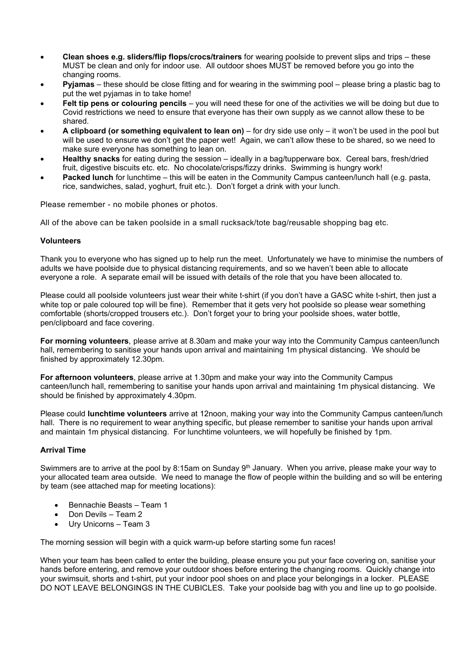- **Clean shoes e.g. sliders/flip flops/crocs/trainers** for wearing poolside to prevent slips and trips these MUST be clean and only for indoor use. All outdoor shoes MUST be removed before you go into the changing rooms.
- **Pyjamas** these should be close fitting and for wearing in the swimming pool please bring a plastic bag to put the wet pyjamas in to take home!
- **Felt tip pens or colouring pencils** you will need these for one of the activities we will be doing but due to Covid restrictions we need to ensure that everyone has their own supply as we cannot allow these to be shared.
- **A clipboard (or something equivalent to lean on)** for dry side use only it won't be used in the pool but will be used to ensure we don't get the paper wet! Again, we can't allow these to be shared, so we need to make sure everyone has something to lean on.
- **Healthy snacks** for eating during the session ideally in a bag/tupperware box. Cereal bars, fresh/dried fruit, digestive biscuits etc. etc. No chocolate/crisps/fizzy drinks. Swimming is hungry work!
- **Packed lunch** for lunchtime this will be eaten in the Community Campus canteen/lunch hall (e.g. pasta, rice, sandwiches, salad, yoghurt, fruit etc.). Don't forget a drink with your lunch.

Please remember - no mobile phones or photos.

All of the above can be taken poolside in a small rucksack/tote bag/reusable shopping bag etc.

# **Volunteers**

Thank you to everyone who has signed up to help run the meet. Unfortunately we have to minimise the numbers of adults we have poolside due to physical distancing requirements, and so we haven't been able to allocate everyone a role. A separate email will be issued with details of the role that you have been allocated to.

Please could all poolside volunteers just wear their white t-shirt (if you don't have a GASC white t-shirt, then just a white top or pale coloured top will be fine). Remember that it gets very hot poolside so please wear something comfortable (shorts/cropped trousers etc.). Don't forget your to bring your poolside shoes, water bottle, pen/clipboard and face covering.

**For morning volunteers**, please arrive at 8.30am and make your way into the Community Campus canteen/lunch hall, remembering to sanitise your hands upon arrival and maintaining 1m physical distancing. We should be finished by approximately 12.30pm.

**For afternoon volunteers**, please arrive at 1.30pm and make your way into the Community Campus canteen/lunch hall, remembering to sanitise your hands upon arrival and maintaining 1m physical distancing. We should be finished by approximately 4.30pm.

Please could **lunchtime volunteers** arrive at 12noon, making your way into the Community Campus canteen/lunch hall. There is no requirement to wear anything specific, but please remember to sanitise your hands upon arrival and maintain 1m physical distancing. For lunchtime volunteers, we will hopefully be finished by 1pm.

# **Arrival Time**

Swimmers are to arrive at the pool by 8:15am on Sunday 9<sup>th</sup> January. When you arrive, please make your way to your allocated team area outside. We need to manage the flow of people within the building and so will be entering by team (see attached map for meeting locations):

- Bennachie Beasts Team 1
- Don Devils Team 2
- Ury Unicorns Team 3

The morning session will begin with a quick warm-up before starting some fun races!

When your team has been called to enter the building, please ensure you put your face covering on, sanitise your hands before entering, and remove your outdoor shoes before entering the changing rooms. Quickly change into your swimsuit, shorts and t-shirt, put your indoor pool shoes on and place your belongings in a locker. PLEASE DO NOT LEAVE BELONGINGS IN THE CUBICLES. Take your poolside bag with you and line up to go poolside.